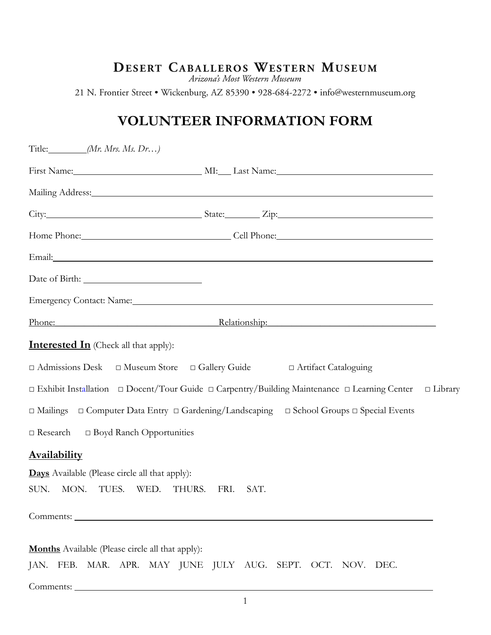## DESERT CABALLEROS WESTERN MUSEUM

Arizona's Most Western Museum

21 N. Frontier Street • Wickenburg, AZ 85390 • 928-684-2272 • info@westernmuseum.org

## **VOLUNTEER INFORMATION FORM**

| Title: <i>Mr. Mrs. Ms. Dr</i> )                                         |      |                                                                                                                                                                                                                                |  |
|-------------------------------------------------------------------------|------|--------------------------------------------------------------------------------------------------------------------------------------------------------------------------------------------------------------------------------|--|
|                                                                         |      | First Name: MI: Last Name: MI: Last Name:                                                                                                                                                                                      |  |
|                                                                         |      | Mailing Address: Mailing Address: All and Mailing Address: All and Mailing Address:                                                                                                                                            |  |
|                                                                         |      |                                                                                                                                                                                                                                |  |
|                                                                         |      | Home Phone: Cell Phone: Cell Phone:                                                                                                                                                                                            |  |
|                                                                         |      | Email: No. 1996. The Commission of the Commission of the Commission of the Commission of the Commission of the Commission of the Commission of the Commission of the Commission of the Commission of the Commission of the Com |  |
|                                                                         |      |                                                                                                                                                                                                                                |  |
|                                                                         |      | Emergency Contact: Name: Manner Contact: Name: Manner Contact: Name: Manner Contact: Name: Manner Contact: Name: Manner Contact: Name: Manner Contact: Name: Manner Contact: Name: Manner Contact: Name: Manner Contact: Name: |  |
|                                                                         |      | Phone: Relationship: Relationship:                                                                                                                                                                                             |  |
| <b>Interested In</b> (Check all that apply):                            |      |                                                                                                                                                                                                                                |  |
| □ Admissions Desk □ Museum Store □ Gallery Guide □ Artifact Cataloguing |      |                                                                                                                                                                                                                                |  |
|                                                                         |      | $\Box$ Exhibit Installation $\Box$ Docent/Tour Guide $\Box$ Carpentry/Building Maintenance $\Box$ Learning Center<br>$\Box$ Library                                                                                            |  |
|                                                                         |      | $\Box$ Mailings $\Box$ Computer Data Entry $\Box$ Gardening/Landscaping $\Box$ School Groups $\Box$ Special Events                                                                                                             |  |
| $\Box$ Research $\Box$ Boyd Ranch Opportunities                         |      |                                                                                                                                                                                                                                |  |
| <b>Availability</b>                                                     |      |                                                                                                                                                                                                                                |  |
| <b>Days</b> Available (Please circle all that apply):                   |      |                                                                                                                                                                                                                                |  |
| MON.<br>TUES.<br>WED.<br>THURS.<br>SUN.                                 | FRI. | SAT.                                                                                                                                                                                                                           |  |
| Comments: Comments:                                                     |      |                                                                                                                                                                                                                                |  |
|                                                                         |      |                                                                                                                                                                                                                                |  |
| <b>Months</b> Available (Please circle all that apply):                 |      |                                                                                                                                                                                                                                |  |
|                                                                         |      | JAN. FEB. MAR. APR. MAY JUNE JULY AUG. SEPT. OCT. NOV. DEC.                                                                                                                                                                    |  |
|                                                                         |      |                                                                                                                                                                                                                                |  |